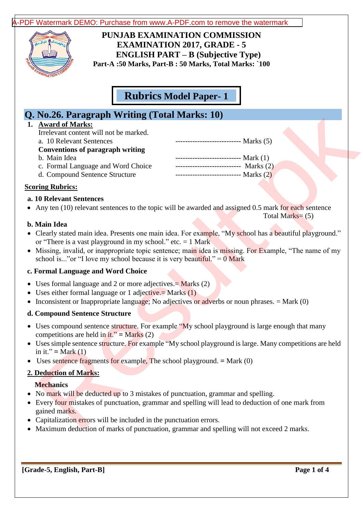[A-PDF Watermark DEMO: Purchase from www.A-PDF.com to remove the watermark](http://www.a-pdf.com/?wm-demo)



**PUNJAB EXAMINATION COMMISSION EXAMINATION 2017, GRADE - 5 ENGLISH PART – B (Subjective Type) Part-A :50 Marks, Part-B : 50 Marks, Total Marks: `100**

**Rubrics Model Paper- 1**

# **Q. No.26. Paragraph Writing (Total Marks: 10)**

## **1. Award of Marks:**

| <b>No.26. Paragraph Writing (Total Marks: 10)</b>                                                                                                                                                                                                                                |
|----------------------------------------------------------------------------------------------------------------------------------------------------------------------------------------------------------------------------------------------------------------------------------|
| <b>Award of Marks:</b><br>Irrelevant content will not be marked.<br>a. 10 Relevant Sentences<br>$\frac{1}{2}$ Marks (5)                                                                                                                                                          |
| <b>Conventions of paragraph writing</b>                                                                                                                                                                                                                                          |
| -------------------------- Mark (1)<br>b. Main Idea                                                                                                                                                                                                                              |
| --------------------------- Marks (2)<br>c. Formal Language and Word Choice                                                                                                                                                                                                      |
| --------------------------- Marks (2)<br>d. Compound Sentence Structure                                                                                                                                                                                                          |
| <u>ring Rubrics:</u>                                                                                                                                                                                                                                                             |
| <b>10 Relevant Sentences</b>                                                                                                                                                                                                                                                     |
| Any ten (10) relevant sentences to the topic will be awarded and assigned 0.5 mark for each sentence<br>Total Marks= $(5)$                                                                                                                                                       |
| Main Idea                                                                                                                                                                                                                                                                        |
| Clearly stated main idea. Presents one main idea. For example, "My school has a beautiful playground."<br>or "There is a vast playground in my school." etc. $= 1$ Mark<br>Missing, invalid, or inappropriate topic sentence; main idea is missing. For Example, "The name of my |
| school is" or "I love my school because it is very beautiful." = $0$ Mark                                                                                                                                                                                                        |
| <b>Formal Language and Word Choice</b>                                                                                                                                                                                                                                           |
| Uses formal language and 2 or more adjectives. $=$ Marks (2)<br>Uses either formal language or 1 adjective. = Marks $(1)$<br>Inconsistent or Inappropriate language; No adjectives or adverbs or noun phrases. = Mark (0)                                                        |
| <b>Compound Sentence Structure</b>                                                                                                                                                                                                                                               |
| Uses compound sentence structure. For example "My school playground is large enough that many<br>competitions are held in $it$ ." = Marks (2)                                                                                                                                    |
| Uses simple sentence structure. For example "My school playground is large. Many competitions are held<br>in it." = Mark $(1)$                                                                                                                                                   |
| Uses sentence fragments for example, The school playground. $=$ Mark (0)                                                                                                                                                                                                         |
| <b>Deduction of Marks:</b>                                                                                                                                                                                                                                                       |
| <b>Mechanics</b>                                                                                                                                                                                                                                                                 |
| No mark will be deducted up to 3 mistakes of punctuation, grammar and spelling.                                                                                                                                                                                                  |
| Every four mistakes of punctuation, grammar and spelling will lead to deduction of one mark from<br>gained marks.                                                                                                                                                                |
| Capitalization errors will be included in the punctuation errors.                                                                                                                                                                                                                |
| Maximum deduction of marks of punctuation, grammar and spelling will not exceed 2 marks                                                                                                                                                                                          |

# **Scoring Rubrics:**

#### **a. 10 Relevant Sentences**

#### **b. Main Idea**

- Clearly stated main idea. Presents one main idea. For example, "My school has a beautiful playground." or "There is a vast playground in my school." etc.  $= 1$  Mark
- Missing, invalid, or inappropriate topic sentence; main idea is missing. For Example, "The name of my school is..."or "I love my school because it is very beautiful." =  $0$  Mark

## **c. Formal Language and Word Choice**

- Uses formal language and 2 or more adjectives. $=$  Marks (2)
- Uses either formal language or 1 adjective.  $=$  Marks  $(1)$
- Inconsistent or Inappropriate language; No adjectives or adverbs or noun phrases. = Mark (0)

## **d. Compound Sentence Structure**

- Uses compound sentence structure. For example "My school playground is large enough that many competitions are held in  $it.' = Marks(2)$
- Uses simple sentence structure. For example "My school playground is large. Many competitions are held in it." **=** Mark (1)
- Uses sentence fragments for example, The school playground. **=** Mark (0)

## **2. Deduction of Marks:**

## **Mechanics**

- No mark will be deducted up to 3 mistakes of punctuation, grammar and spelling.
- Every four mistakes of punctuation, grammar and spelling will lead to deduction of one mark from gained marks.
- Capitalization errors will be included in the punctuation errors.
- Maximum deduction of marks of punctuation, grammar and spelling will not exceed 2 marks.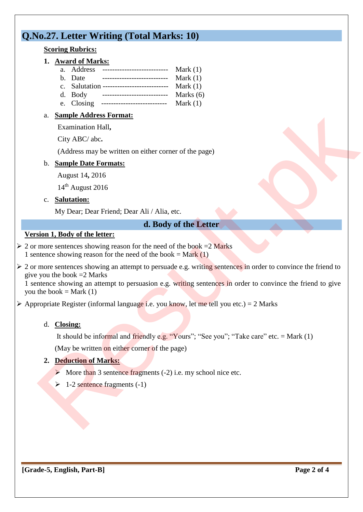# **Q.No.27. Letter Writing (Total Marks: 10)**

## **Scoring Rubrics:**

# **1. Award of Marks:**

- a. Address --------------------------- Mark (1)
- b. Date --------------------------- Mark (1)
- c. Salutation --------------------------- Mark (1) d. Body --------------------------- Marks (6)
- e. Closing --------------------------- Mark (1)
- a. **Sample Address Format:**

Examination Hall**,**

City ABC/ abc**.**

(Address may be written on either corner of the page)

# b. **Sample Date Formats:**

August 14**,** 2016

14th August 2016

# c. **Salutation:**

My Dear; Dear Friend; Dear Ali / Alia, etc.

# **d. Body of the Letter**

# **Version 1, Body of the letter:**

- $\geq 2$  or more sentences showing reason for the need of the book =2 Marks 1 sentence showing reason for the need of the book = Mark  $(1)$
- $\geq 2$  or more sentences showing an attempt to persuade e.g. writing sentences in order to convince the friend to give you the book  $=2$  Marks 1. Sentence for the sentence fraction of the page of the sentence fragments (-1)<br>
2. Sentence fragments (-4) ABC (-2) ABC (-4) ABC (-4) Result. The sense of the page of the sense from the sense of the sense of the sense o

1 sentence showing an attempt to persuasion e.g. writing sentences in order to convince the friend to give you the book  $=$  Mark  $(1)$ 

 $\triangleright$  Appropriate Register (informal language i.e. you know, let me tell you etc.) = 2 Marks

# d. **Closing:**

It should be informal and friendly e.g. "Yours"; "See you"; "Take care" etc. = Mark  $(1)$ (May be written on either corner of the page)

# **2. Deduction of Marks:**

- $\triangleright$  More than 3 sentence fragments (-2) i.e. my school nice etc.
- 

**[Grade-5, English, Part-B] Page 2 of 4**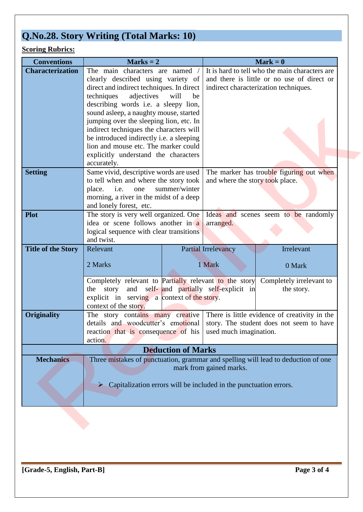# **Q.No.28. Story Writing (Total Marks: 10)**

# **Scoring Rubrics:**

| <b>Conventions</b>        | $Marks = 2$                                                                                                                                                            |            |                                                                             | $Mark = 0$                                                                        |  |
|---------------------------|------------------------------------------------------------------------------------------------------------------------------------------------------------------------|------------|-----------------------------------------------------------------------------|-----------------------------------------------------------------------------------|--|
| <b>Characterization</b>   | The main characters are named /                                                                                                                                        |            |                                                                             | It is hard to tell who the main characters are                                    |  |
|                           | clearly described using variety of                                                                                                                                     |            | and there is little or no use of direct or                                  |                                                                                   |  |
|                           | direct and indirect techniques. In direct                                                                                                                              |            | indirect characterization techniques.                                       |                                                                                   |  |
|                           | techniques<br>adjectives                                                                                                                                               | will<br>be |                                                                             |                                                                                   |  |
|                           | describing words i.e. a sleepy lion,                                                                                                                                   |            |                                                                             |                                                                                   |  |
|                           | sound asleep, a naughty mouse, started                                                                                                                                 |            |                                                                             |                                                                                   |  |
|                           | jumping over the sleeping lion, etc. In<br>indirect techniques the characters will<br>be introduced indirectly i.e. a sleeping<br>lion and mouse etc. The marker could |            |                                                                             |                                                                                   |  |
|                           |                                                                                                                                                                        |            |                                                                             |                                                                                   |  |
|                           |                                                                                                                                                                        |            |                                                                             |                                                                                   |  |
|                           |                                                                                                                                                                        |            |                                                                             |                                                                                   |  |
|                           | explicitly understand the characters                                                                                                                                   |            |                                                                             |                                                                                   |  |
|                           | accurately.                                                                                                                                                            |            |                                                                             |                                                                                   |  |
| <b>Setting</b>            | Same vivid, descriptive words are used                                                                                                                                 |            | The marker has trouble figuring out when<br>and where the story took place. |                                                                                   |  |
|                           | to tell when and where the story took<br>summer/winter                                                                                                                 |            |                                                                             |                                                                                   |  |
|                           | place.<br>i.e.<br>one<br>morning, a river in the midst of a deep                                                                                                       |            |                                                                             |                                                                                   |  |
|                           | and lonely forest, etc.                                                                                                                                                |            |                                                                             |                                                                                   |  |
| <b>Plot</b>               |                                                                                                                                                                        |            |                                                                             | Ideas and scenes seem to be randomly                                              |  |
|                           | The story is very well organized. One<br>idea or scene follows another in a                                                                                            |            | arranged.                                                                   |                                                                                   |  |
|                           | logical sequence with clear transitions                                                                                                                                |            |                                                                             |                                                                                   |  |
|                           | and twist.                                                                                                                                                             |            |                                                                             |                                                                                   |  |
| <b>Title of the Story</b> | Relevant                                                                                                                                                               |            | <b>Partial Irrelevancy</b>                                                  | Irrelevant                                                                        |  |
|                           |                                                                                                                                                                        |            |                                                                             |                                                                                   |  |
|                           | 2 Marks                                                                                                                                                                |            | 1 Mark                                                                      | 0 Mark                                                                            |  |
|                           | Completely relevant to Partially relevant to the story                                                                                                                 |            |                                                                             |                                                                                   |  |
|                           | story<br>the                                                                                                                                                           |            | and self- and partially self-explicit in                                    | Completely irrelevant to                                                          |  |
|                           | explicit in serving a context of the story.                                                                                                                            |            |                                                                             | the story.                                                                        |  |
|                           | context of the story.                                                                                                                                                  |            |                                                                             |                                                                                   |  |
| <b>Originality</b>        | The story contains many creative                                                                                                                                       |            |                                                                             | There is little evidence of creativity in the                                     |  |
|                           | details and woodcutter's emotional                                                                                                                                     |            |                                                                             | story. The student does not seem to have                                          |  |
|                           | reaction that is consequence of his used much imagination.                                                                                                             |            |                                                                             |                                                                                   |  |
|                           | action.                                                                                                                                                                |            |                                                                             |                                                                                   |  |
| <b>Deduction of Marks</b> |                                                                                                                                                                        |            |                                                                             |                                                                                   |  |
|                           |                                                                                                                                                                        |            |                                                                             |                                                                                   |  |
|                           |                                                                                                                                                                        |            |                                                                             |                                                                                   |  |
| <b>Mechanics</b>          |                                                                                                                                                                        |            |                                                                             | Three mistakes of punctuation, grammar and spelling will lead to deduction of one |  |
|                           |                                                                                                                                                                        |            | mark from gained marks.                                                     |                                                                                   |  |
|                           | $\triangleright$ Capitalization errors will be included in the punctuation errors.                                                                                     |            |                                                                             |                                                                                   |  |
|                           |                                                                                                                                                                        |            |                                                                             |                                                                                   |  |
|                           |                                                                                                                                                                        |            |                                                                             |                                                                                   |  |
|                           |                                                                                                                                                                        |            |                                                                             |                                                                                   |  |